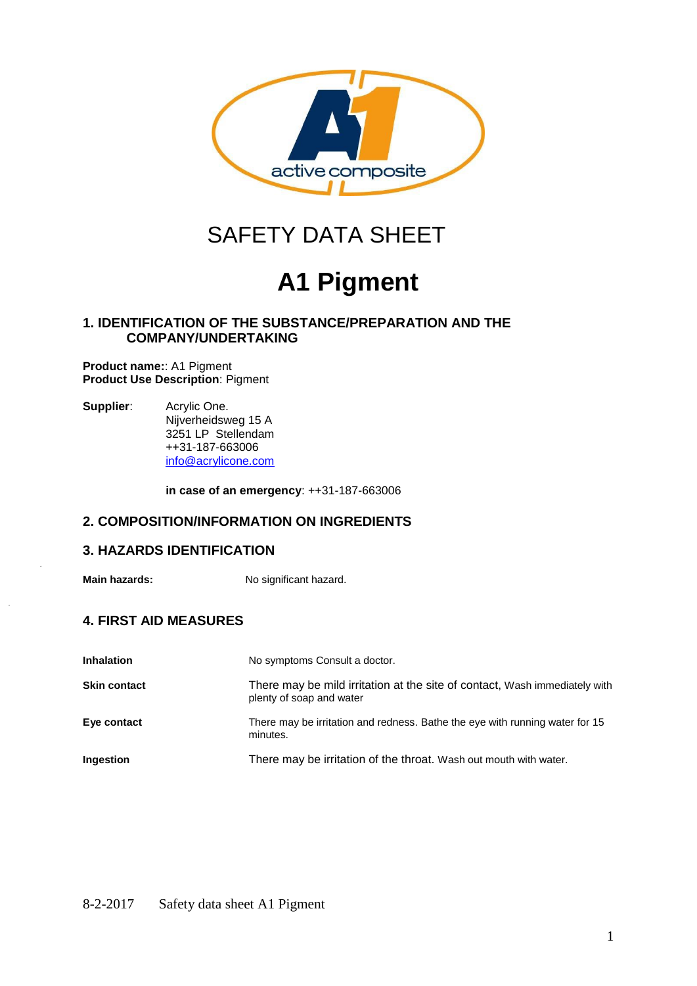

## SAFETY DATA SHEET

# **A1 Pigment**

## **1. IDENTIFICATION OF THE SUBSTANCE/PREPARATION AND THE COMPANY/UNDERTAKING**

**Product name:**: A1 Pigment **Product Use Description**: Pigment

**Supplier**: Acrylic One. Nijverheidsweg 15 A 3251 LP Stellendam ++31-187-663006 [info@acrylicone.com](mailto:info@acrylicone.com)

**in case of an emergency**: ++31-187-663006

## **2. COMPOSITION/INFORMATION ON INGREDIENTS**

## **3. HAZARDS IDENTIFICATION**

**Main hazards:** No significant hazard.

## **4. FIRST AID MEASURES**

| <b>Inhalation</b>   | No symptoms Consult a doctor.                                                                          |
|---------------------|--------------------------------------------------------------------------------------------------------|
| <b>Skin contact</b> | There may be mild irritation at the site of contact, Wash immediately with<br>plenty of soap and water |
| Eye contact         | There may be irritation and redness. Bathe the eye with running water for 15<br>minutes.               |
| <b>Ingestion</b>    | There may be irritation of the throat. Wash out mouth with water.                                      |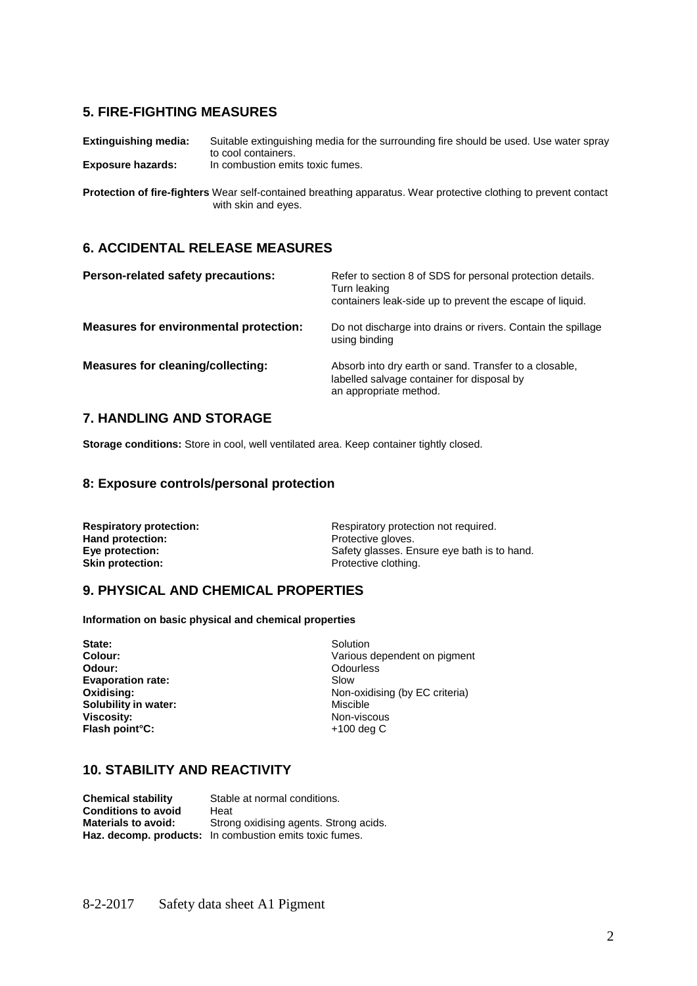## **5. FIRE-FIGHTING MEASURES**

**Extinguishing media:** Suitable extinguishing media for the surrounding fire should be used. Use water spray to cool containers. **Exposure hazards:** In combustion emits toxic fumes.

**Protection of fire-fighters** Wear self-contained breathing apparatus. Wear protective clothing to prevent contact with skin and eyes.

### **6. ACCIDENTAL RELEASE MEASURES**

| <b>Person-related safety precautions:</b>     | Refer to section 8 of SDS for personal protection details.<br>Turn leaking<br>containers leak-side up to prevent the escape of liquid. |
|-----------------------------------------------|----------------------------------------------------------------------------------------------------------------------------------------|
| <b>Measures for environmental protection:</b> | Do not discharge into drains or rivers. Contain the spillage<br>using binding                                                          |
| Measures for cleaning/collecting:             | Absorb into dry earth or sand. Transfer to a closable,<br>labelled salvage container for disposal by<br>an appropriate method.         |

## **7. HANDLING AND STORAGE**

**Storage conditions:** Store in cool, well ventilated area. Keep container tightly closed.

#### **8: Exposure controls/personal protection**

| <b>Respiratory protection:</b> | Respiratory protection not required.        |  |
|--------------------------------|---------------------------------------------|--|
| Hand protection:               | Protective gloves.                          |  |
| Eye protection:                | Safety glasses. Ensure eye bath is to hand. |  |
| <b>Skin protection:</b>        | Protective clothing.                        |  |

## **9. PHYSICAL AND CHEMICAL PROPERTIES**

**Information on basic physical and chemical properties**

**State:** Solution Colour: **Solution** Solution Colour: **Solution** Solution Colour: **Evaporation rate:** Slow **Solubility in water: Viscosity:**<br>
Flash point°C:<br>
Flash point°C:<br>
All the state of the state of the state of the state of the state of the state of the state of the state of the state of the state of the state of the state of the state of the **Flash point°C:** 

**Colour:** Colour: Various dependent on pigment<br>
Odour: Colour: Colourless **Odour:** Odourless **Oxidising: Non-oxidising (by EC criteria)**<br> **Solubility in water: Non-oxidising (by EC criteria)** 

#### **10. STABILITY AND REACTIVITY**

**Chemical stability** Stable at normal conditions. **Conditions to avoid** Heat<br> **Materials to avoid:** Stron Strong oxidising agents. Strong acids. **Haz. decomp. products:** In combustion emits toxic fumes.

8-2-2017 Safety data sheet A1 Pigment